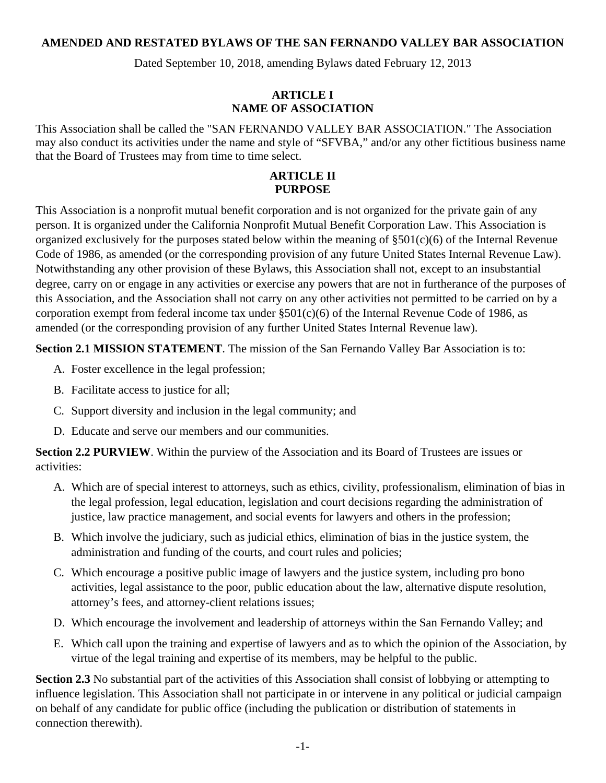#### **AMENDED AND RESTATED BYLAWS OF THE SAN FERNANDO VALLEY BAR ASSOCIATION**

Dated September 10, 2018, amending Bylaws dated February 12, 2013

#### **ARTICLE I NAME OF ASSOCIATION**

This Association shall be called the "SAN FERNANDO VALLEY BAR ASSOCIATION." The Association may also conduct its activities under the name and style of "SFVBA," and/or any other fictitious business name that the Board of Trustees may from time to time select.

#### **ARTICLE II PURPOSE**

This Association is a nonprofit mutual benefit corporation and is not organized for the private gain of any person. It is organized under the California Nonprofit Mutual Benefit Corporation Law. This Association is organized exclusively for the purposes stated below within the meaning of §501(c)(6) of the Internal Revenue Code of 1986, as amended (or the corresponding provision of any future United States Internal Revenue Law). Notwithstanding any other provision of these Bylaws, this Association shall not, except to an insubstantial degree, carry on or engage in any activities or exercise any powers that are not in furtherance of the purposes of this Association, and the Association shall not carry on any other activities not permitted to be carried on by a corporation exempt from federal income tax under  $\S501(c)(6)$  of the Internal Revenue Code of 1986, as amended (or the corresponding provision of any further United States Internal Revenue law).

**Section 2.1 MISSION STATEMENT**. The mission of the San Fernando Valley Bar Association is to:

- A. Foster excellence in the legal profession;
- B. Facilitate access to justice for all;
- C. Support diversity and inclusion in the legal community; and
- D. Educate and serve our members and our communities.

**Section 2.2 PURVIEW**. Within the purview of the Association and its Board of Trustees are issues or activities:

- A. Which are of special interest to attorneys, such as ethics, civility, professionalism, elimination of bias in the legal profession, legal education, legislation and court decisions regarding the administration of justice, law practice management, and social events for lawyers and others in the profession;
- B. Which involve the judiciary, such as judicial ethics, elimination of bias in the justice system, the administration and funding of the courts, and court rules and policies;
- C. Which encourage a positive public image of lawyers and the justice system, including pro bono activities, legal assistance to the poor, public education about the law, alternative dispute resolution, attorney's fees, and attorney-client relations issues;
- D. Which encourage the involvement and leadership of attorneys within the San Fernando Valley; and
- E. Which call upon the training and expertise of lawyers and as to which the opinion of the Association, by virtue of the legal training and expertise of its members, may be helpful to the public.

**Section 2.3** No substantial part of the activities of this Association shall consist of lobbying or attempting to influence legislation. This Association shall not participate in or intervene in any political or judicial campaign on behalf of any candidate for public office (including the publication or distribution of statements in connection therewith).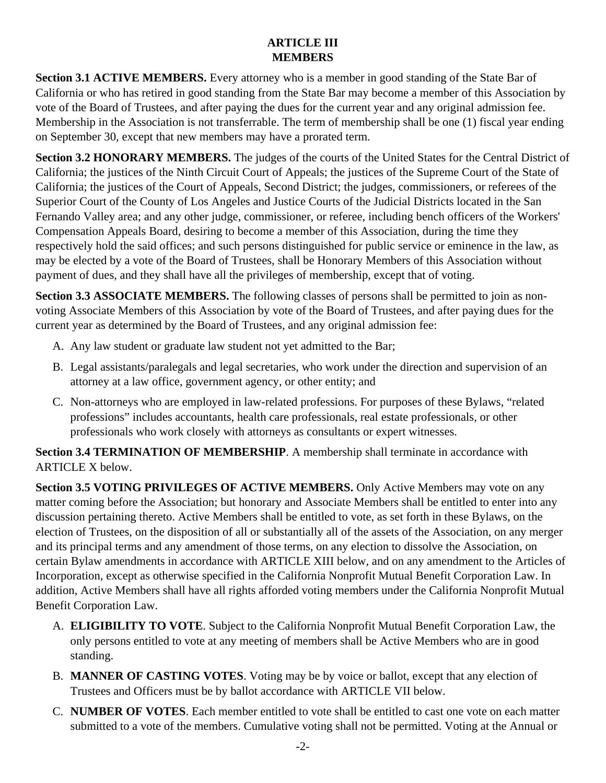# **ARTICLE III MEMBERS**

**Section 3.1 ACTIVE MEMBERS.** Every attorney who is a member in good standing of the State Bar of California or who has retired in good standing from the State Bar may become a member of this Association by vote of the Board of Trustees, and after paying the dues for the current year and any original admission fee. Membership in the Association is not transferrable. The term of membership shall be one (1) fiscal year ending on September 30, except that new members may have a prorated term.

**Section 3.2 HONORARY MEMBERS.** The judges of the courts of the United States for the Central District of California; the justices of the Ninth Circuit Court of Appeals; the justices of the Supreme Court of the State of California; the justices of the Court of Appeals, Second District; the judges, commissioners, or referees of the Superior Court of the County of Los Angeles and Justice Courts of the Judicial Districts located in the San Fernando Valley area; and any other judge, commissioner, or referee, including bench officers of the Workers' Compensation Appeals Board, desiring to become a member of this Association, during the time they respectively hold the said offices; and such persons distinguished for public service or eminence in the law, as may be elected by a vote of the Board of Trustees, shall be Honorary Members of this Association without payment of dues, and they shall have all the privileges of membership, except that of voting.

Section 3.3 ASSOCIATE MEMBERS. The following classes of persons shall be permitted to join as nonvoting Associate Members of this Association by vote of the Board of Trustees, and after paying dues for the current year as determined by the Board of Trustees, and any original admission fee:

- A. Any law student or graduate law student not yet admitted to the Bar;
- B. Legal assistants/paralegals and legal secretaries, who work under the direction and supervision of an attorney at a law office, government agency, or other entity; and
- C. Non-attorneys who are employed in law-related professions. For purposes of these Bylaws, "related professions" includes accountants, health care professionals, real estate professionals, or other professionals who work closely with attorneys as consultants or expert witnesses.

**Section 3.4 TERMINATION OF MEMBERSHIP**. A membership shall terminate in accordance with ARTICLE X below.

**Section 3.5 VOTING PRIVILEGES OF ACTIVE MEMBERS.** Only Active Members may vote on any matter coming before the Association; but honorary and Associate Members shall be entitled to enter into any discussion pertaining thereto. Active Members shall be entitled to vote, as set forth in these Bylaws, on the election of Trustees, on the disposition of all or substantially all of the assets of the Association, on any merger and its principal terms and any amendment of those terms, on any election to dissolve the Association, on certain Bylaw amendments in accordance with ARTICLE XIII below, and on any amendment to the Articles of Incorporation, except as otherwise specified in the California Nonprofit Mutual Benefit Corporation Law. In addition, Active Members shall have all rights afforded voting members under the California Nonprofit Mutual Benefit Corporation Law.

- A. **ELIGIBILITY TO VOTE**. Subject to the California Nonprofit Mutual Benefit Corporation Law, the only persons entitled to vote at any meeting of members shall be Active Members who are in good standing.
- B. **MANNER OF CASTING VOTES**. Voting may be by voice or ballot, except that any election of Trustees and Officers must be by ballot accordance with ARTICLE VII below.
- C. **NUMBER OF VOTES**. Each member entitled to vote shall be entitled to cast one vote on each matter submitted to a vote of the members. Cumulative voting shall not be permitted. Voting at the Annual or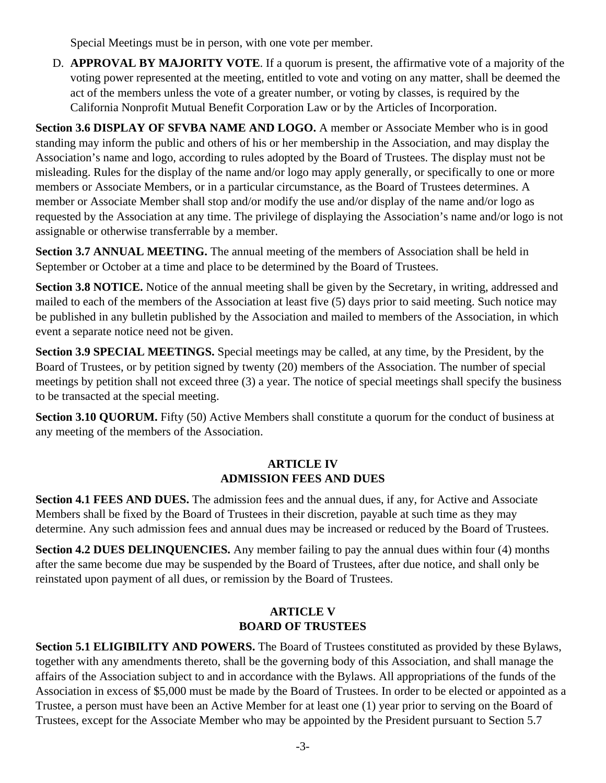Special Meetings must be in person, with one vote per member.

D. **APPROVAL BY MAJORITY VOTE**. If a quorum is present, the affirmative vote of a majority of the voting power represented at the meeting, entitled to vote and voting on any matter, shall be deemed the act of the members unless the vote of a greater number, or voting by classes, is required by the California Nonprofit Mutual Benefit Corporation Law or by the Articles of Incorporation.

**Section 3.6 DISPLAY OF SFVBA NAME AND LOGO.** A member or Associate Member who is in good standing may inform the public and others of his or her membership in the Association, and may display the Association's name and logo, according to rules adopted by the Board of Trustees. The display must not be misleading. Rules for the display of the name and/or logo may apply generally, or specifically to one or more members or Associate Members, or in a particular circumstance, as the Board of Trustees determines. A member or Associate Member shall stop and/or modify the use and/or display of the name and/or logo as requested by the Association at any time. The privilege of displaying the Association's name and/or logo is not assignable or otherwise transferrable by a member.

**Section 3.7 ANNUAL MEETING.** The annual meeting of the members of Association shall be held in September or October at a time and place to be determined by the Board of Trustees.

**Section 3.8 NOTICE.** Notice of the annual meeting shall be given by the Secretary, in writing, addressed and mailed to each of the members of the Association at least five (5) days prior to said meeting. Such notice may be published in any bulletin published by the Association and mailed to members of the Association, in which event a separate notice need not be given.

**Section 3.9 SPECIAL MEETINGS.** Special meetings may be called, at any time, by the President, by the Board of Trustees, or by petition signed by twenty (20) members of the Association. The number of special meetings by petition shall not exceed three (3) a year. The notice of special meetings shall specify the business to be transacted at the special meeting.

**Section 3.10 QUORUM.** Fifty (50) Active Members shall constitute a quorum for the conduct of business at any meeting of the members of the Association.

### **ARTICLE IV ADMISSION FEES AND DUES**

**Section 4.1 FEES AND DUES.** The admission fees and the annual dues, if any, for Active and Associate Members shall be fixed by the Board of Trustees in their discretion, payable at such time as they may determine. Any such admission fees and annual dues may be increased or reduced by the Board of Trustees.

**Section 4.2 DUES DELINQUENCIES.** Any member failing to pay the annual dues within four (4) months after the same become due may be suspended by the Board of Trustees, after due notice, and shall only be reinstated upon payment of all dues, or remission by the Board of Trustees.

### **ARTICLE V BOARD OF TRUSTEES**

**Section 5.1 ELIGIBILITY AND POWERS.** The Board of Trustees constituted as provided by these Bylaws, together with any amendments thereto, shall be the governing body of this Association, and shall manage the affairs of the Association subject to and in accordance with the Bylaws. All appropriations of the funds of the Association in excess of \$5,000 must be made by the Board of Trustees. In order to be elected or appointed as a Trustee, a person must have been an Active Member for at least one (1) year prior to serving on the Board of Trustees, except for the Associate Member who may be appointed by the President pursuant to Section 5.7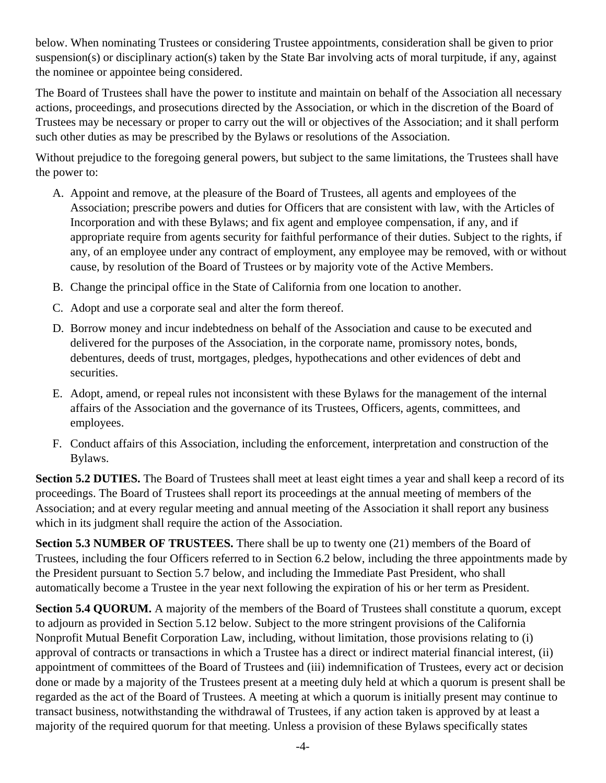below. When nominating Trustees or considering Trustee appointments, consideration shall be given to prior suspension(s) or disciplinary action(s) taken by the State Bar involving acts of moral turpitude, if any, against the nominee or appointee being considered.

The Board of Trustees shall have the power to institute and maintain on behalf of the Association all necessary actions, proceedings, and prosecutions directed by the Association, or which in the discretion of the Board of Trustees may be necessary or proper to carry out the will or objectives of the Association; and it shall perform such other duties as may be prescribed by the Bylaws or resolutions of the Association.

Without prejudice to the foregoing general powers, but subject to the same limitations, the Trustees shall have the power to:

- A. Appoint and remove, at the pleasure of the Board of Trustees, all agents and employees of the Association; prescribe powers and duties for Officers that are consistent with law, with the Articles of Incorporation and with these Bylaws; and fix agent and employee compensation, if any, and if appropriate require from agents security for faithful performance of their duties. Subject to the rights, if any, of an employee under any contract of employment, any employee may be removed, with or without cause, by resolution of the Board of Trustees or by majority vote of the Active Members.
- B. Change the principal office in the State of California from one location to another.
- C. Adopt and use a corporate seal and alter the form thereof.
- D. Borrow money and incur indebtedness on behalf of the Association and cause to be executed and delivered for the purposes of the Association, in the corporate name, promissory notes, bonds, debentures, deeds of trust, mortgages, pledges, hypothecations and other evidences of debt and securities.
- E. Adopt, amend, or repeal rules not inconsistent with these Bylaws for the management of the internal affairs of the Association and the governance of its Trustees, Officers, agents, committees, and employees.
- F. Conduct affairs of this Association, including the enforcement, interpretation and construction of the Bylaws.

**Section 5.2 DUTIES.** The Board of Trustees shall meet at least eight times a year and shall keep a record of its proceedings. The Board of Trustees shall report its proceedings at the annual meeting of members of the Association; and at every regular meeting and annual meeting of the Association it shall report any business which in its judgment shall require the action of the Association.

**Section 5.3 NUMBER OF TRUSTEES.** There shall be up to twenty one (21) members of the Board of Trustees, including the four Officers referred to in Section 6.2 below, including the three appointments made by the President pursuant to Section 5.7 below, and including the Immediate Past President, who shall automatically become a Trustee in the year next following the expiration of his or her term as President.

**Section 5.4 QUORUM.** A majority of the members of the Board of Trustees shall constitute a quorum, except to adjourn as provided in Section 5.12 below. Subject to the more stringent provisions of the California Nonprofit Mutual Benefit Corporation Law, including, without limitation, those provisions relating to (i) approval of contracts or transactions in which a Trustee has a direct or indirect material financial interest, (ii) appointment of committees of the Board of Trustees and (iii) indemnification of Trustees, every act or decision done or made by a majority of the Trustees present at a meeting duly held at which a quorum is present shall be regarded as the act of the Board of Trustees. A meeting at which a quorum is initially present may continue to transact business, notwithstanding the withdrawal of Trustees, if any action taken is approved by at least a majority of the required quorum for that meeting. Unless a provision of these Bylaws specifically states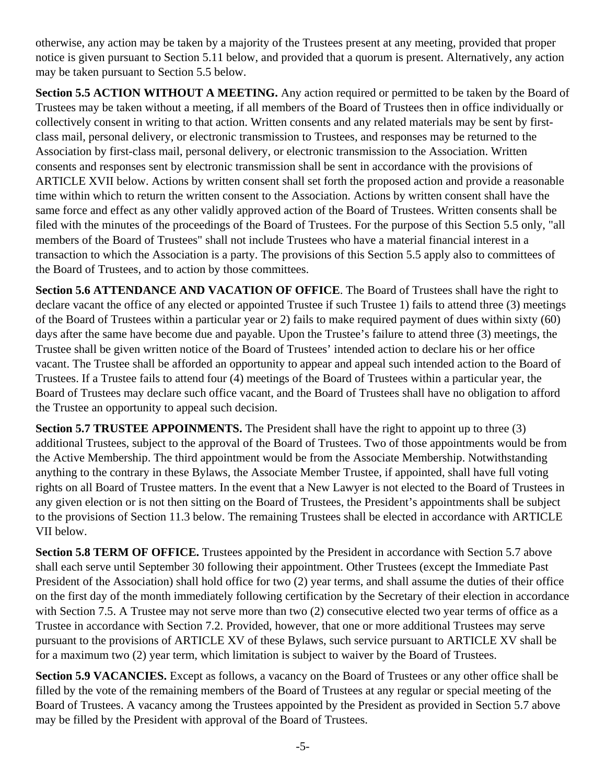otherwise, any action may be taken by a majority of the Trustees present at any meeting, provided that proper notice is given pursuant to Section 5.11 below, and provided that a quorum is present. Alternatively, any action may be taken pursuant to Section 5.5 below.

**Section 5.5 ACTION WITHOUT A MEETING.** Any action required or permitted to be taken by the Board of Trustees may be taken without a meeting, if all members of the Board of Trustees then in office individually or collectively consent in writing to that action. Written consents and any related materials may be sent by firstclass mail, personal delivery, or electronic transmission to Trustees, and responses may be returned to the Association by first-class mail, personal delivery, or electronic transmission to the Association. Written consents and responses sent by electronic transmission shall be sent in accordance with the provisions of ARTICLE XVII below. Actions by written consent shall set forth the proposed action and provide a reasonable time within which to return the written consent to the Association. Actions by written consent shall have the same force and effect as any other validly approved action of the Board of Trustees. Written consents shall be filed with the minutes of the proceedings of the Board of Trustees. For the purpose of this Section 5.5 only, "all members of the Board of Trustees" shall not include Trustees who have a material financial interest in a transaction to which the Association is a party. The provisions of this Section 5.5 apply also to committees of the Board of Trustees, and to action by those committees.

**Section 5.6 ATTENDANCE AND VACATION OF OFFICE**. The Board of Trustees shall have the right to declare vacant the office of any elected or appointed Trustee if such Trustee 1) fails to attend three (3) meetings of the Board of Trustees within a particular year or 2) fails to make required payment of dues within sixty (60) days after the same have become due and payable. Upon the Trustee's failure to attend three (3) meetings, the Trustee shall be given written notice of the Board of Trustees' intended action to declare his or her office vacant. The Trustee shall be afforded an opportunity to appear and appeal such intended action to the Board of Trustees. If a Trustee fails to attend four (4) meetings of the Board of Trustees within a particular year, the Board of Trustees may declare such office vacant, and the Board of Trustees shall have no obligation to afford the Trustee an opportunity to appeal such decision.

**Section 5.7 TRUSTEE APPOINMENTS.** The President shall have the right to appoint up to three (3) additional Trustees, subject to the approval of the Board of Trustees. Two of those appointments would be from the Active Membership. The third appointment would be from the Associate Membership. Notwithstanding anything to the contrary in these Bylaws, the Associate Member Trustee, if appointed, shall have full voting rights on all Board of Trustee matters. In the event that a New Lawyer is not elected to the Board of Trustees in any given election or is not then sitting on the Board of Trustees, the President's appointments shall be subject to the provisions of Section 11.3 below. The remaining Trustees shall be elected in accordance with ARTICLE VII below.

**Section 5.8 TERM OF OFFICE.** Trustees appointed by the President in accordance with Section 5.7 above shall each serve until September 30 following their appointment. Other Trustees (except the Immediate Past President of the Association) shall hold office for two (2) year terms, and shall assume the duties of their office on the first day of the month immediately following certification by the Secretary of their election in accordance with Section 7.5. A Trustee may not serve more than two (2) consecutive elected two year terms of office as a Trustee in accordance with Section 7.2. Provided, however, that one or more additional Trustees may serve pursuant to the provisions of ARTICLE XV of these Bylaws, such service pursuant to ARTICLE XV shall be for a maximum two (2) year term, which limitation is subject to waiver by the Board of Trustees.

**Section 5.9 VACANCIES.** Except as follows, a vacancy on the Board of Trustees or any other office shall be filled by the vote of the remaining members of the Board of Trustees at any regular or special meeting of the Board of Trustees. A vacancy among the Trustees appointed by the President as provided in Section 5.7 above may be filled by the President with approval of the Board of Trustees.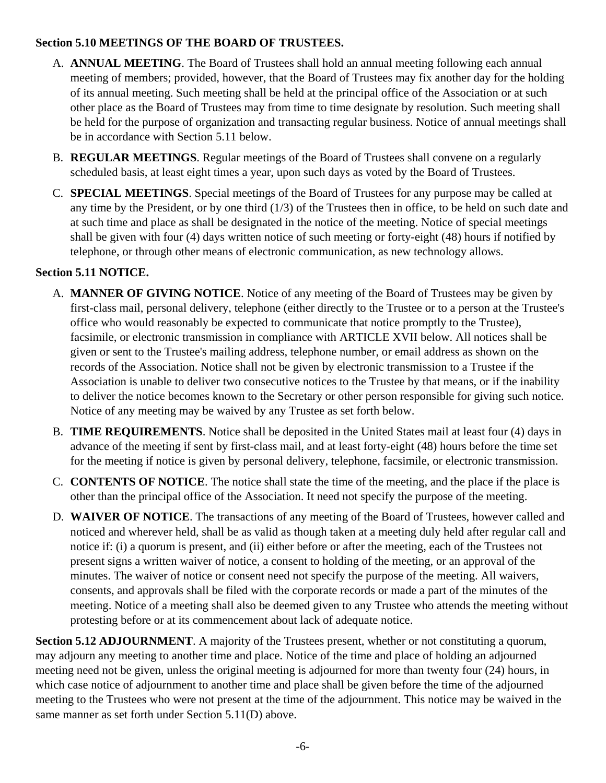### **Section 5.10 MEETINGS OF THE BOARD OF TRUSTEES.**

- A. **ANNUAL MEETING**. The Board of Trustees shall hold an annual meeting following each annual meeting of members; provided, however, that the Board of Trustees may fix another day for the holding of its annual meeting. Such meeting shall be held at the principal office of the Association or at such other place as the Board of Trustees may from time to time designate by resolution. Such meeting shall be held for the purpose of organization and transacting regular business. Notice of annual meetings shall be in accordance with Section 5.11 below.
- B. **REGULAR MEETINGS**. Regular meetings of the Board of Trustees shall convene on a regularly scheduled basis, at least eight times a year, upon such days as voted by the Board of Trustees.
- C. **SPECIAL MEETINGS**. Special meetings of the Board of Trustees for any purpose may be called at any time by the President, or by one third (1/3) of the Trustees then in office, to be held on such date and at such time and place as shall be designated in the notice of the meeting. Notice of special meetings shall be given with four (4) days written notice of such meeting or forty-eight (48) hours if notified by telephone, or through other means of electronic communication, as new technology allows.

# **Section 5.11 NOTICE.**

- A. **MANNER OF GIVING NOTICE**. Notice of any meeting of the Board of Trustees may be given by first-class mail, personal delivery, telephone (either directly to the Trustee or to a person at the Trustee's office who would reasonably be expected to communicate that notice promptly to the Trustee), facsimile, or electronic transmission in compliance with ARTICLE XVII below. All notices shall be given or sent to the Trustee's mailing address, telephone number, or email address as shown on the records of the Association. Notice shall not be given by electronic transmission to a Trustee if the Association is unable to deliver two consecutive notices to the Trustee by that means, or if the inability to deliver the notice becomes known to the Secretary or other person responsible for giving such notice. Notice of any meeting may be waived by any Trustee as set forth below.
- B. **TIME REQUIREMENTS**. Notice shall be deposited in the United States mail at least four (4) days in advance of the meeting if sent by first-class mail, and at least forty-eight (48) hours before the time set for the meeting if notice is given by personal delivery, telephone, facsimile, or electronic transmission.
- C. **CONTENTS OF NOTICE**. The notice shall state the time of the meeting, and the place if the place is other than the principal office of the Association. It need not specify the purpose of the meeting.
- D. **WAIVER OF NOTICE**. The transactions of any meeting of the Board of Trustees, however called and noticed and wherever held, shall be as valid as though taken at a meeting duly held after regular call and notice if: (i) a quorum is present, and (ii) either before or after the meeting, each of the Trustees not present signs a written waiver of notice, a consent to holding of the meeting, or an approval of the minutes. The waiver of notice or consent need not specify the purpose of the meeting. All waivers, consents, and approvals shall be filed with the corporate records or made a part of the minutes of the meeting. Notice of a meeting shall also be deemed given to any Trustee who attends the meeting without protesting before or at its commencement about lack of adequate notice.

**Section 5.12 ADJOURNMENT**. A majority of the Trustees present, whether or not constituting a quorum, may adjourn any meeting to another time and place. Notice of the time and place of holding an adjourned meeting need not be given, unless the original meeting is adjourned for more than twenty four (24) hours, in which case notice of adjournment to another time and place shall be given before the time of the adjourned meeting to the Trustees who were not present at the time of the adjournment. This notice may be waived in the same manner as set forth under Section 5.11(D) above.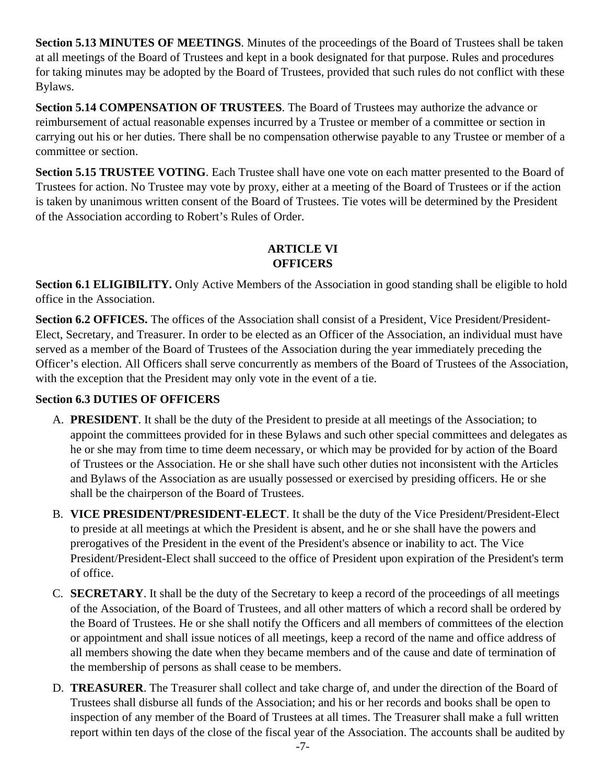**Section 5.13 MINUTES OF MEETINGS**. Minutes of the proceedings of the Board of Trustees shall be taken at all meetings of the Board of Trustees and kept in a book designated for that purpose. Rules and procedures for taking minutes may be adopted by the Board of Trustees, provided that such rules do not conflict with these Bylaws.

**Section 5.14 COMPENSATION OF TRUSTEES**. The Board of Trustees may authorize the advance or reimbursement of actual reasonable expenses incurred by a Trustee or member of a committee or section in carrying out his or her duties. There shall be no compensation otherwise payable to any Trustee or member of a committee or section.

**Section 5.15 TRUSTEE VOTING**. Each Trustee shall have one vote on each matter presented to the Board of Trustees for action. No Trustee may vote by proxy, either at a meeting of the Board of Trustees or if the action is taken by unanimous written consent of the Board of Trustees. Tie votes will be determined by the President of the Association according to Robert's Rules of Order.

# **ARTICLE VI OFFICERS**

**Section 6.1 ELIGIBILITY.** Only Active Members of the Association in good standing shall be eligible to hold office in the Association.

**Section 6.2 OFFICES.** The offices of the Association shall consist of a President, Vice President/President-Elect, Secretary, and Treasurer. In order to be elected as an Officer of the Association, an individual must have served as a member of the Board of Trustees of the Association during the year immediately preceding the Officer's election. All Officers shall serve concurrently as members of the Board of Trustees of the Association, with the exception that the President may only vote in the event of a tie.

# **Section 6.3 DUTIES OF OFFICERS**

- A. **PRESIDENT**. It shall be the duty of the President to preside at all meetings of the Association; to appoint the committees provided for in these Bylaws and such other special committees and delegates as he or she may from time to time deem necessary, or which may be provided for by action of the Board of Trustees or the Association. He or she shall have such other duties not inconsistent with the Articles and Bylaws of the Association as are usually possessed or exercised by presiding officers. He or she shall be the chairperson of the Board of Trustees.
- B. **VICE PRESIDENT/PRESIDENT-ELECT**. It shall be the duty of the Vice President/President-Elect to preside at all meetings at which the President is absent, and he or she shall have the powers and prerogatives of the President in the event of the President's absence or inability to act. The Vice President/President-Elect shall succeed to the office of President upon expiration of the President's term of office.
- C. **SECRETARY**. It shall be the duty of the Secretary to keep a record of the proceedings of all meetings of the Association, of the Board of Trustees, and all other matters of which a record shall be ordered by the Board of Trustees. He or she shall notify the Officers and all members of committees of the election or appointment and shall issue notices of all meetings, keep a record of the name and office address of all members showing the date when they became members and of the cause and date of termination of the membership of persons as shall cease to be members.
- D. **TREASURER**. The Treasurer shall collect and take charge of, and under the direction of the Board of Trustees shall disburse all funds of the Association; and his or her records and books shall be open to inspection of any member of the Board of Trustees at all times. The Treasurer shall make a full written report within ten days of the close of the fiscal year of the Association. The accounts shall be audited by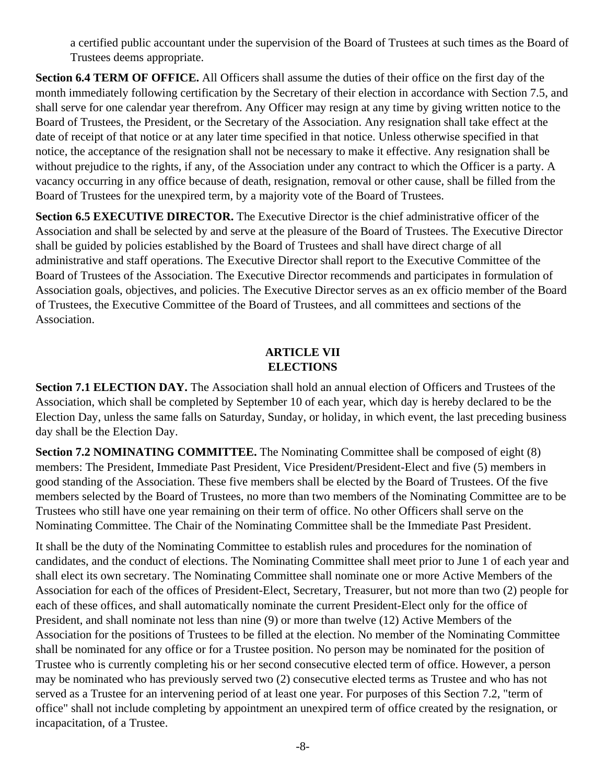a certified public accountant under the supervision of the Board of Trustees at such times as the Board of Trustees deems appropriate.

**Section 6.4 TERM OF OFFICE.** All Officers shall assume the duties of their office on the first day of the month immediately following certification by the Secretary of their election in accordance with Section 7.5, and shall serve for one calendar year therefrom. Any Officer may resign at any time by giving written notice to the Board of Trustees, the President, or the Secretary of the Association. Any resignation shall take effect at the date of receipt of that notice or at any later time specified in that notice. Unless otherwise specified in that notice, the acceptance of the resignation shall not be necessary to make it effective. Any resignation shall be without prejudice to the rights, if any, of the Association under any contract to which the Officer is a party. A vacancy occurring in any office because of death, resignation, removal or other cause, shall be filled from the Board of Trustees for the unexpired term, by a majority vote of the Board of Trustees.

**Section 6.5 EXECUTIVE DIRECTOR.** The Executive Director is the chief administrative officer of the Association and shall be selected by and serve at the pleasure of the Board of Trustees. The Executive Director shall be guided by policies established by the Board of Trustees and shall have direct charge of all administrative and staff operations. The Executive Director shall report to the Executive Committee of the Board of Trustees of the Association. The Executive Director recommends and participates in formulation of Association goals, objectives, and policies. The Executive Director serves as an ex officio member of the Board of Trustees, the Executive Committee of the Board of Trustees, and all committees and sections of the Association.

# **ARTICLE VII ELECTIONS**

**Section 7.1 ELECTION DAY.** The Association shall hold an annual election of Officers and Trustees of the Association, which shall be completed by September 10 of each year, which day is hereby declared to be the Election Day, unless the same falls on Saturday, Sunday, or holiday, in which event, the last preceding business day shall be the Election Day.

**Section 7.2 NOMINATING COMMITTEE.** The Nominating Committee shall be composed of eight (8) members: The President, Immediate Past President, Vice President/President-Elect and five (5) members in good standing of the Association. These five members shall be elected by the Board of Trustees. Of the five members selected by the Board of Trustees, no more than two members of the Nominating Committee are to be Trustees who still have one year remaining on their term of office. No other Officers shall serve on the Nominating Committee. The Chair of the Nominating Committee shall be the Immediate Past President.

It shall be the duty of the Nominating Committee to establish rules and procedures for the nomination of candidates, and the conduct of elections. The Nominating Committee shall meet prior to June 1 of each year and shall elect its own secretary. The Nominating Committee shall nominate one or more Active Members of the Association for each of the offices of President-Elect, Secretary, Treasurer, but not more than two (2) people for each of these offices, and shall automatically nominate the current President-Elect only for the office of President, and shall nominate not less than nine (9) or more than twelve (12) Active Members of the Association for the positions of Trustees to be filled at the election. No member of the Nominating Committee shall be nominated for any office or for a Trustee position. No person may be nominated for the position of Trustee who is currently completing his or her second consecutive elected term of office. However, a person may be nominated who has previously served two (2) consecutive elected terms as Trustee and who has not served as a Trustee for an intervening period of at least one year. For purposes of this Section 7.2, "term of office" shall not include completing by appointment an unexpired term of office created by the resignation, or incapacitation, of a Trustee.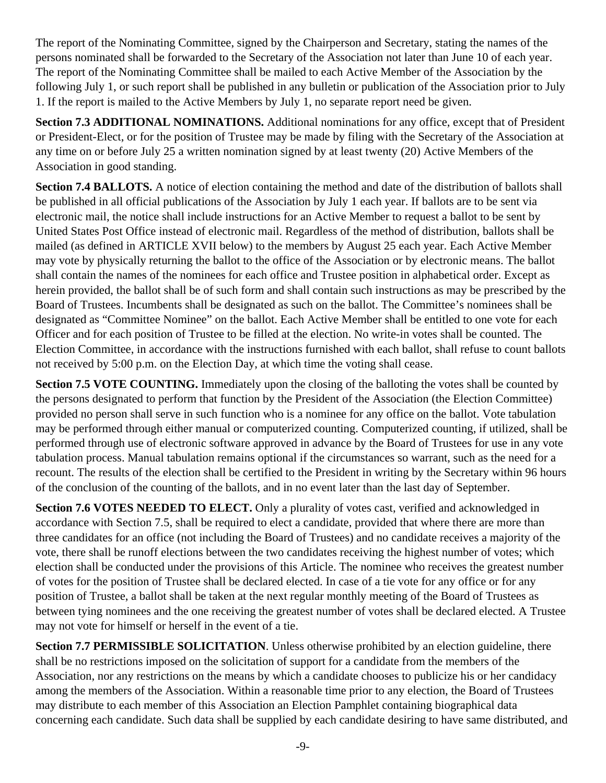The report of the Nominating Committee, signed by the Chairperson and Secretary, stating the names of the persons nominated shall be forwarded to the Secretary of the Association not later than June 10 of each year. The report of the Nominating Committee shall be mailed to each Active Member of the Association by the following July 1, or such report shall be published in any bulletin or publication of the Association prior to July 1. If the report is mailed to the Active Members by July 1, no separate report need be given.

**Section 7.3 ADDITIONAL NOMINATIONS.** Additional nominations for any office, except that of President or President-Elect, or for the position of Trustee may be made by filing with the Secretary of the Association at any time on or before July 25 a written nomination signed by at least twenty (20) Active Members of the Association in good standing.

**Section 7.4 BALLOTS.** A notice of election containing the method and date of the distribution of ballots shall be published in all official publications of the Association by July 1 each year. If ballots are to be sent via electronic mail, the notice shall include instructions for an Active Member to request a ballot to be sent by United States Post Office instead of electronic mail. Regardless of the method of distribution, ballots shall be mailed (as defined in ARTICLE XVII below) to the members by August 25 each year. Each Active Member may vote by physically returning the ballot to the office of the Association or by electronic means. The ballot shall contain the names of the nominees for each office and Trustee position in alphabetical order. Except as herein provided, the ballot shall be of such form and shall contain such instructions as may be prescribed by the Board of Trustees. Incumbents shall be designated as such on the ballot. The Committee's nominees shall be designated as "Committee Nominee" on the ballot. Each Active Member shall be entitled to one vote for each Officer and for each position of Trustee to be filled at the election. No write-in votes shall be counted. The Election Committee, in accordance with the instructions furnished with each ballot, shall refuse to count ballots not received by 5:00 p.m. on the Election Day, at which time the voting shall cease.

**Section 7.5 VOTE COUNTING.** Immediately upon the closing of the balloting the votes shall be counted by the persons designated to perform that function by the President of the Association (the Election Committee) provided no person shall serve in such function who is a nominee for any office on the ballot. Vote tabulation may be performed through either manual or computerized counting. Computerized counting, if utilized, shall be performed through use of electronic software approved in advance by the Board of Trustees for use in any vote tabulation process. Manual tabulation remains optional if the circumstances so warrant, such as the need for a recount. The results of the election shall be certified to the President in writing by the Secretary within 96 hours of the conclusion of the counting of the ballots, and in no event later than the last day of September.

**Section 7.6 VOTES NEEDED TO ELECT.** Only a plurality of votes cast, verified and acknowledged in accordance with Section 7.5, shall be required to elect a candidate, provided that where there are more than three candidates for an office (not including the Board of Trustees) and no candidate receives a majority of the vote, there shall be runoff elections between the two candidates receiving the highest number of votes; which election shall be conducted under the provisions of this Article. The nominee who receives the greatest number of votes for the position of Trustee shall be declared elected. In case of a tie vote for any office or for any position of Trustee, a ballot shall be taken at the next regular monthly meeting of the Board of Trustees as between tying nominees and the one receiving the greatest number of votes shall be declared elected. A Trustee may not vote for himself or herself in the event of a tie.

**Section 7.7 PERMISSIBLE SOLICITATION**. Unless otherwise prohibited by an election guideline, there shall be no restrictions imposed on the solicitation of support for a candidate from the members of the Association, nor any restrictions on the means by which a candidate chooses to publicize his or her candidacy among the members of the Association. Within a reasonable time prior to any election, the Board of Trustees may distribute to each member of this Association an Election Pamphlet containing biographical data concerning each candidate. Such data shall be supplied by each candidate desiring to have same distributed, and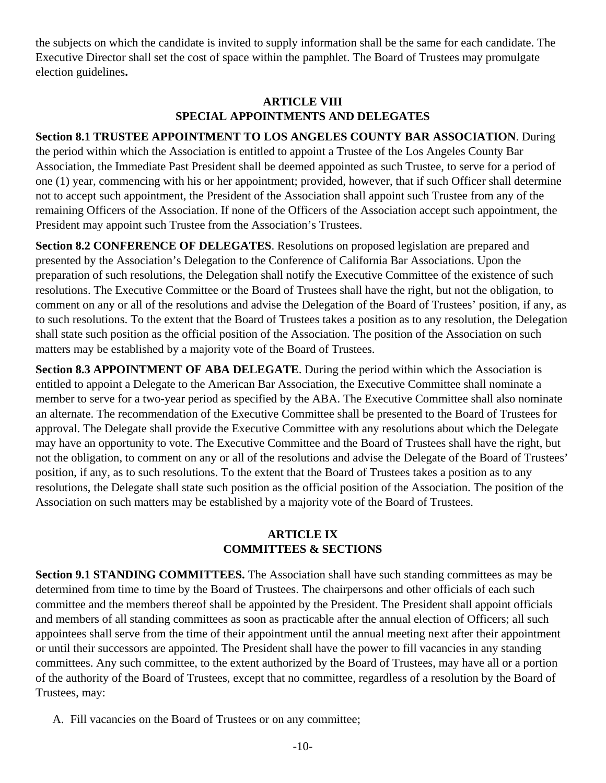the subjects on which the candidate is invited to supply information shall be the same for each candidate. The Executive Director shall set the cost of space within the pamphlet. The Board of Trustees may promulgate election guidelines**.** 

# **ARTICLE VIII SPECIAL APPOINTMENTS AND DELEGATES**

**Section 8.1 TRUSTEE APPOINTMENT TO LOS ANGELES COUNTY BAR ASSOCIATION**. During the period within which the Association is entitled to appoint a Trustee of the Los Angeles County Bar Association, the Immediate Past President shall be deemed appointed as such Trustee, to serve for a period of one (1) year, commencing with his or her appointment; provided, however, that if such Officer shall determine not to accept such appointment, the President of the Association shall appoint such Trustee from any of the remaining Officers of the Association. If none of the Officers of the Association accept such appointment, the

**Section 8.2 CONFERENCE OF DELEGATES**. Resolutions on proposed legislation are prepared and presented by the Association's Delegation to the Conference of California Bar Associations. Upon the preparation of such resolutions, the Delegation shall notify the Executive Committee of the existence of such resolutions. The Executive Committee or the Board of Trustees shall have the right, but not the obligation, to comment on any or all of the resolutions and advise the Delegation of the Board of Trustees' position, if any, as to such resolutions. To the extent that the Board of Trustees takes a position as to any resolution, the Delegation shall state such position as the official position of the Association. The position of the Association on such matters may be established by a majority vote of the Board of Trustees.

**Section 8.3 APPOINTMENT OF ABA DELEGATE**. During the period within which the Association is entitled to appoint a Delegate to the American Bar Association, the Executive Committee shall nominate a member to serve for a two-year period as specified by the ABA. The Executive Committee shall also nominate an alternate. The recommendation of the Executive Committee shall be presented to the Board of Trustees for approval. The Delegate shall provide the Executive Committee with any resolutions about which the Delegate may have an opportunity to vote. The Executive Committee and the Board of Trustees shall have the right, but not the obligation, to comment on any or all of the resolutions and advise the Delegate of the Board of Trustees' position, if any, as to such resolutions. To the extent that the Board of Trustees takes a position as to any resolutions, the Delegate shall state such position as the official position of the Association. The position of the Association on such matters may be established by a majority vote of the Board of Trustees.

# **ARTICLE IX COMMITTEES & SECTIONS**

**Section 9.1 STANDING COMMITTEES.** The Association shall have such standing committees as may be determined from time to time by the Board of Trustees. The chairpersons and other officials of each such committee and the members thereof shall be appointed by the President. The President shall appoint officials and members of all standing committees as soon as practicable after the annual election of Officers; all such appointees shall serve from the time of their appointment until the annual meeting next after their appointment or until their successors are appointed. The President shall have the power to fill vacancies in any standing committees. Any such committee, to the extent authorized by the Board of Trustees, may have all or a portion of the authority of the Board of Trustees, except that no committee, regardless of a resolution by the Board of Trustees, may:

A. Fill vacancies on the Board of Trustees or on any committee;

President may appoint such Trustee from the Association's Trustees.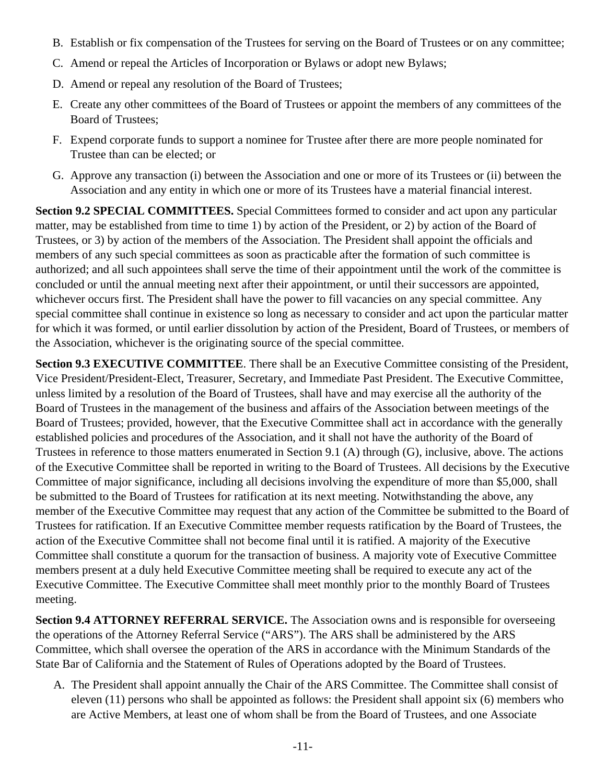- B. Establish or fix compensation of the Trustees for serving on the Board of Trustees or on any committee;
- C. Amend or repeal the Articles of Incorporation or Bylaws or adopt new Bylaws;
- D. Amend or repeal any resolution of the Board of Trustees;
- E. Create any other committees of the Board of Trustees or appoint the members of any committees of the Board of Trustees;
- F. Expend corporate funds to support a nominee for Trustee after there are more people nominated for Trustee than can be elected; or
- G. Approve any transaction (i) between the Association and one or more of its Trustees or (ii) between the Association and any entity in which one or more of its Trustees have a material financial interest.

**Section 9.2 SPECIAL COMMITTEES.** Special Committees formed to consider and act upon any particular matter, may be established from time to time 1) by action of the President, or 2) by action of the Board of Trustees, or 3) by action of the members of the Association. The President shall appoint the officials and members of any such special committees as soon as practicable after the formation of such committee is authorized; and all such appointees shall serve the time of their appointment until the work of the committee is concluded or until the annual meeting next after their appointment, or until their successors are appointed, whichever occurs first. The President shall have the power to fill vacancies on any special committee. Any special committee shall continue in existence so long as necessary to consider and act upon the particular matter for which it was formed, or until earlier dissolution by action of the President, Board of Trustees, or members of the Association, whichever is the originating source of the special committee.

**Section 9.3 EXECUTIVE COMMITTEE**. There shall be an Executive Committee consisting of the President, Vice President/President-Elect, Treasurer, Secretary, and Immediate Past President. The Executive Committee, unless limited by a resolution of the Board of Trustees, shall have and may exercise all the authority of the Board of Trustees in the management of the business and affairs of the Association between meetings of the Board of Trustees; provided, however, that the Executive Committee shall act in accordance with the generally established policies and procedures of the Association, and it shall not have the authority of the Board of Trustees in reference to those matters enumerated in Section 9.1 (A) through (G), inclusive, above. The actions of the Executive Committee shall be reported in writing to the Board of Trustees. All decisions by the Executive Committee of major significance, including all decisions involving the expenditure of more than \$5,000, shall be submitted to the Board of Trustees for ratification at its next meeting. Notwithstanding the above, any member of the Executive Committee may request that any action of the Committee be submitted to the Board of Trustees for ratification. If an Executive Committee member requests ratification by the Board of Trustees, the action of the Executive Committee shall not become final until it is ratified. A majority of the Executive Committee shall constitute a quorum for the transaction of business. A majority vote of Executive Committee members present at a duly held Executive Committee meeting shall be required to execute any act of the Executive Committee. The Executive Committee shall meet monthly prior to the monthly Board of Trustees meeting.

**Section 9.4 ATTORNEY REFERRAL SERVICE.** The Association owns and is responsible for overseeing the operations of the Attorney Referral Service ("ARS"). The ARS shall be administered by the ARS Committee, which shall oversee the operation of the ARS in accordance with the Minimum Standards of the State Bar of California and the Statement of Rules of Operations adopted by the Board of Trustees.

A. The President shall appoint annually the Chair of the ARS Committee. The Committee shall consist of eleven (11) persons who shall be appointed as follows: the President shall appoint six (6) members who are Active Members, at least one of whom shall be from the Board of Trustees, and one Associate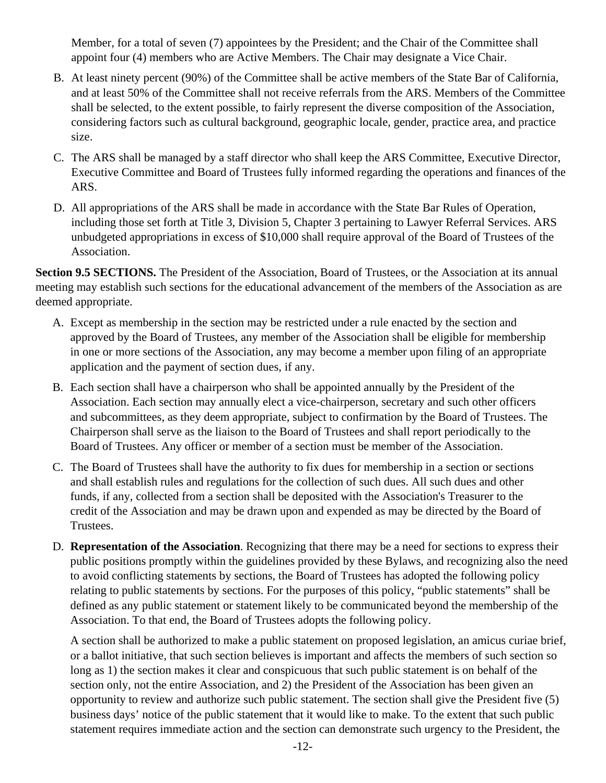Member, for a total of seven (7) appointees by the President; and the Chair of the Committee shall appoint four (4) members who are Active Members. The Chair may designate a Vice Chair.

- B. At least ninety percent (90%) of the Committee shall be active members of the State Bar of California, and at least 50% of the Committee shall not receive referrals from the ARS. Members of the Committee shall be selected, to the extent possible, to fairly represent the diverse composition of the Association, considering factors such as cultural background, geographic locale, gender, practice area, and practice size.
- C. The ARS shall be managed by a staff director who shall keep the ARS Committee, Executive Director, Executive Committee and Board of Trustees fully informed regarding the operations and finances of the ARS.
- D. All appropriations of the ARS shall be made in accordance with the State Bar Rules of Operation, including those set forth at Title 3, Division 5, Chapter 3 pertaining to Lawyer Referral Services. ARS unbudgeted appropriations in excess of \$10,000 shall require approval of the Board of Trustees of the Association.

**Section 9.5 SECTIONS.** The President of the Association, Board of Trustees, or the Association at its annual meeting may establish such sections for the educational advancement of the members of the Association as are deemed appropriate.

- A. Except as membership in the section may be restricted under a rule enacted by the section and approved by the Board of Trustees, any member of the Association shall be eligible for membership in one or more sections of the Association, any may become a member upon filing of an appropriate application and the payment of section dues, if any.
- B. Each section shall have a chairperson who shall be appointed annually by the President of the Association. Each section may annually elect a vice-chairperson, secretary and such other officers and subcommittees, as they deem appropriate, subject to confirmation by the Board of Trustees. The Chairperson shall serve as the liaison to the Board of Trustees and shall report periodically to the Board of Trustees. Any officer or member of a section must be member of the Association.
- C. The Board of Trustees shall have the authority to fix dues for membership in a section or sections and shall establish rules and regulations for the collection of such dues. All such dues and other funds, if any, collected from a section shall be deposited with the Association's Treasurer to the credit of the Association and may be drawn upon and expended as may be directed by the Board of Trustees.
- D. **Representation of the Association**. Recognizing that there may be a need for sections to express their public positions promptly within the guidelines provided by these Bylaws, and recognizing also the need to avoid conflicting statements by sections, the Board of Trustees has adopted the following policy relating to public statements by sections. For the purposes of this policy, "public statements" shall be defined as any public statement or statement likely to be communicated beyond the membership of the Association. To that end, the Board of Trustees adopts the following policy.

A section shall be authorized to make a public statement on proposed legislation, an amicus curiae brief, or a ballot initiative, that such section believes is important and affects the members of such section so long as 1) the section makes it clear and conspicuous that such public statement is on behalf of the section only, not the entire Association, and 2) the President of the Association has been given an opportunity to review and authorize such public statement. The section shall give the President five (5) business days' notice of the public statement that it would like to make. To the extent that such public statement requires immediate action and the section can demonstrate such urgency to the President, the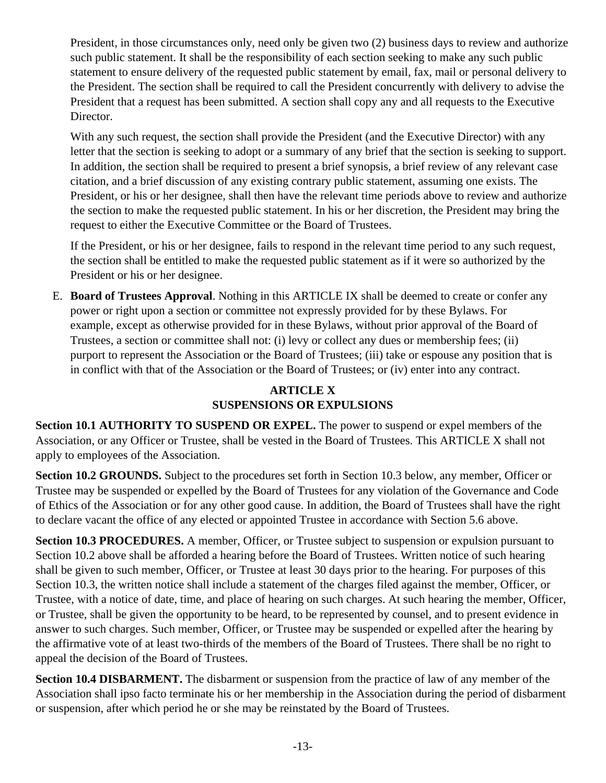President, in those circumstances only, need only be given two (2) business days to review and authorize such public statement. It shall be the responsibility of each section seeking to make any such public statement to ensure delivery of the requested public statement by email, fax, mail or personal delivery to the President. The section shall be required to call the President concurrently with delivery to advise the President that a request has been submitted. A section shall copy any and all requests to the Executive Director.

With any such request, the section shall provide the President (and the Executive Director) with any letter that the section is seeking to adopt or a summary of any brief that the section is seeking to support. In addition, the section shall be required to present a brief synopsis, a brief review of any relevant case citation, and a brief discussion of any existing contrary public statement, assuming one exists. The President, or his or her designee, shall then have the relevant time periods above to review and authorize the section to make the requested public statement. In his or her discretion, the President may bring the request to either the Executive Committee or the Board of Trustees.

If the President, or his or her designee, fails to respond in the relevant time period to any such request, the section shall be entitled to make the requested public statement as if it were so authorized by the President or his or her designee.

E. **Board of Trustees Approval**. Nothing in this ARTICLE IX shall be deemed to create or confer any power or right upon a section or committee not expressly provided for by these Bylaws. For example, except as otherwise provided for in these Bylaws, without prior approval of the Board of Trustees, a section or committee shall not: (i) levy or collect any dues or membership fees; (ii) purport to represent the Association or the Board of Trustees; (iii) take or espouse any position that is in conflict with that of the Association or the Board of Trustees; or (iv) enter into any contract.

# **ARTICLE X SUSPENSIONS OR EXPULSIONS**

**Section 10.1 AUTHORITY TO SUSPEND OR EXPEL.** The power to suspend or expel members of the Association, or any Officer or Trustee, shall be vested in the Board of Trustees. This ARTICLE X shall not apply to employees of the Association.

**Section 10.2 GROUNDS.** Subject to the procedures set forth in Section 10.3 below, any member, Officer or Trustee may be suspended or expelled by the Board of Trustees for any violation of the Governance and Code of Ethics of the Association or for any other good cause. In addition, the Board of Trustees shall have the right to declare vacant the office of any elected or appointed Trustee in accordance with Section 5.6 above.

**Section 10.3 PROCEDURES.** A member, Officer, or Trustee subject to suspension or expulsion pursuant to Section 10.2 above shall be afforded a hearing before the Board of Trustees. Written notice of such hearing shall be given to such member, Officer, or Trustee at least 30 days prior to the hearing. For purposes of this Section 10.3, the written notice shall include a statement of the charges filed against the member, Officer, or Trustee, with a notice of date, time, and place of hearing on such charges. At such hearing the member, Officer, or Trustee, shall be given the opportunity to be heard, to be represented by counsel, and to present evidence in answer to such charges. Such member, Officer, or Trustee may be suspended or expelled after the hearing by the affirmative vote of at least two-thirds of the members of the Board of Trustees. There shall be no right to appeal the decision of the Board of Trustees.

**Section 10.4 DISBARMENT.** The disbarment or suspension from the practice of law of any member of the Association shall ipso facto terminate his or her membership in the Association during the period of disbarment or suspension, after which period he or she may be reinstated by the Board of Trustees.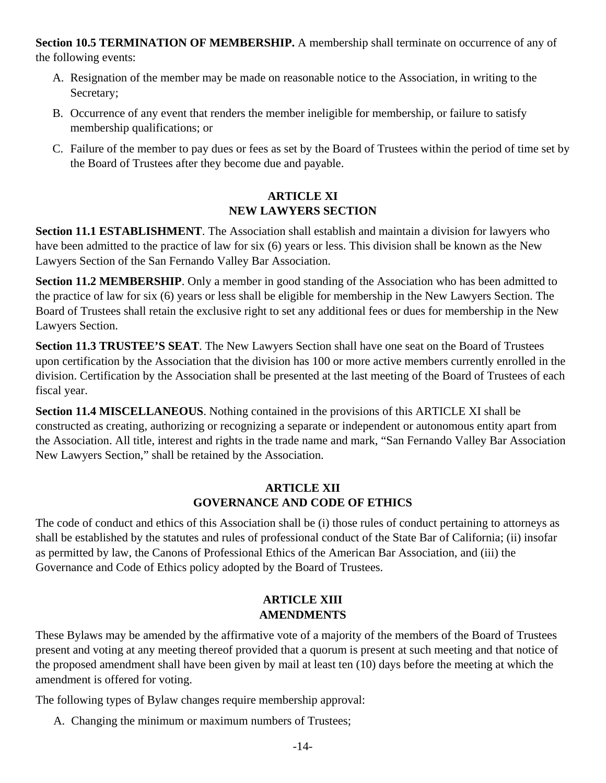**Section 10.5 TERMINATION OF MEMBERSHIP.** A membership shall terminate on occurrence of any of the following events:

- A. Resignation of the member may be made on reasonable notice to the Association, in writing to the Secretary;
- B. Occurrence of any event that renders the member ineligible for membership, or failure to satisfy membership qualifications; or
- C. Failure of the member to pay dues or fees as set by the Board of Trustees within the period of time set by the Board of Trustees after they become due and payable.

# **ARTICLE XI NEW LAWYERS SECTION**

**Section 11.1 ESTABLISHMENT**. The Association shall establish and maintain a division for lawyers who have been admitted to the practice of law for six (6) years or less. This division shall be known as the New Lawyers Section of the San Fernando Valley Bar Association.

**Section 11.2 MEMBERSHIP**. Only a member in good standing of the Association who has been admitted to the practice of law for six (6) years or less shall be eligible for membership in the New Lawyers Section. The Board of Trustees shall retain the exclusive right to set any additional fees or dues for membership in the New Lawyers Section.

**Section 11.3 TRUSTEE'S SEAT**. The New Lawyers Section shall have one seat on the Board of Trustees upon certification by the Association that the division has 100 or more active members currently enrolled in the division. Certification by the Association shall be presented at the last meeting of the Board of Trustees of each fiscal year.

**Section 11.4 MISCELLANEOUS**. Nothing contained in the provisions of this ARTICLE XI shall be constructed as creating, authorizing or recognizing a separate or independent or autonomous entity apart from the Association. All title, interest and rights in the trade name and mark, "San Fernando Valley Bar Association New Lawyers Section," shall be retained by the Association.

# **ARTICLE XII GOVERNANCE AND CODE OF ETHICS**

The code of conduct and ethics of this Association shall be (i) those rules of conduct pertaining to attorneys as shall be established by the statutes and rules of professional conduct of the State Bar of California; (ii) insofar as permitted by law, the Canons of Professional Ethics of the American Bar Association, and (iii) the Governance and Code of Ethics policy adopted by the Board of Trustees.

# **ARTICLE XIII AMENDMENTS**

These Bylaws may be amended by the affirmative vote of a majority of the members of the Board of Trustees present and voting at any meeting thereof provided that a quorum is present at such meeting and that notice of the proposed amendment shall have been given by mail at least ten (10) days before the meeting at which the amendment is offered for voting.

The following types of Bylaw changes require membership approval:

A. Changing the minimum or maximum numbers of Trustees;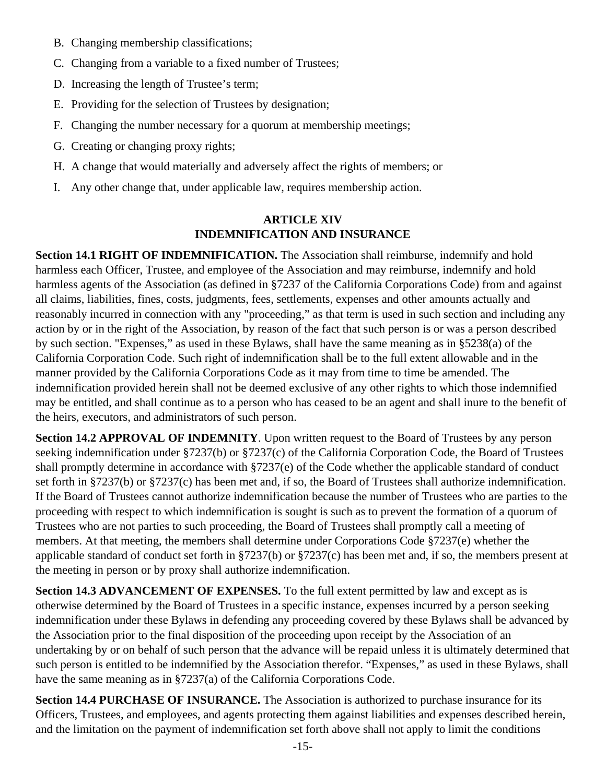- B. Changing membership classifications;
- C. Changing from a variable to a fixed number of Trustees;
- D. Increasing the length of Trustee's term;
- E. Providing for the selection of Trustees by designation;
- F. Changing the number necessary for a quorum at membership meetings;
- G. Creating or changing proxy rights;
- H. A change that would materially and adversely affect the rights of members; or
- I. Any other change that, under applicable law, requires membership action.

### **ARTICLE XIV INDEMNIFICATION AND INSURANCE**

**Section 14.1 RIGHT OF INDEMNIFICATION.** The Association shall reimburse, indemnify and hold harmless each Officer, Trustee, and employee of the Association and may reimburse, indemnify and hold harmless agents of the Association (as defined in §7237 of the California Corporations Code) from and against all claims, liabilities, fines, costs, judgments, fees, settlements, expenses and other amounts actually and reasonably incurred in connection with any "proceeding," as that term is used in such section and including any action by or in the right of the Association, by reason of the fact that such person is or was a person described by such section. "Expenses," as used in these Bylaws, shall have the same meaning as in §5238(a) of the California Corporation Code. Such right of indemnification shall be to the full extent allowable and in the manner provided by the California Corporations Code as it may from time to time be amended. The indemnification provided herein shall not be deemed exclusive of any other rights to which those indemnified may be entitled, and shall continue as to a person who has ceased to be an agent and shall inure to the benefit of the heirs, executors, and administrators of such person.

**Section 14.2 APPROVAL OF INDEMNITY**. Upon written request to the Board of Trustees by any person seeking indemnification under §7237(b) or §7237(c) of the California Corporation Code, the Board of Trustees shall promptly determine in accordance with §7237(e) of the Code whether the applicable standard of conduct set forth in §7237(b) or §7237(c) has been met and, if so, the Board of Trustees shall authorize indemnification. If the Board of Trustees cannot authorize indemnification because the number of Trustees who are parties to the proceeding with respect to which indemnification is sought is such as to prevent the formation of a quorum of Trustees who are not parties to such proceeding, the Board of Trustees shall promptly call a meeting of members. At that meeting, the members shall determine under Corporations Code §7237(e) whether the applicable standard of conduct set forth in §7237(b) or §7237(c) has been met and, if so, the members present at the meeting in person or by proxy shall authorize indemnification.

**Section 14.3 ADVANCEMENT OF EXPENSES.** To the full extent permitted by law and except as is otherwise determined by the Board of Trustees in a specific instance, expenses incurred by a person seeking indemnification under these Bylaws in defending any proceeding covered by these Bylaws shall be advanced by the Association prior to the final disposition of the proceeding upon receipt by the Association of an undertaking by or on behalf of such person that the advance will be repaid unless it is ultimately determined that such person is entitled to be indemnified by the Association therefor. "Expenses," as used in these Bylaws, shall have the same meaning as in §7237(a) of the California Corporations Code.

**Section 14.4 PURCHASE OF INSURANCE.** The Association is authorized to purchase insurance for its Officers, Trustees, and employees, and agents protecting them against liabilities and expenses described herein, and the limitation on the payment of indemnification set forth above shall not apply to limit the conditions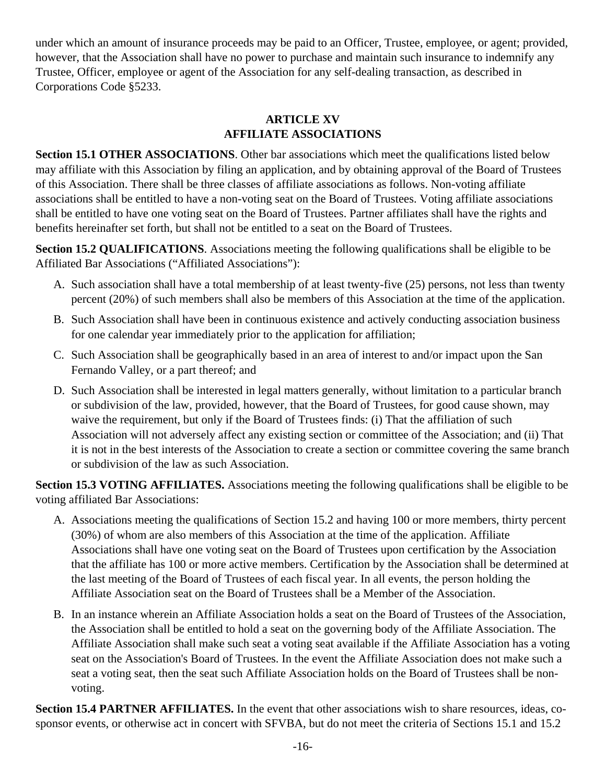under which an amount of insurance proceeds may be paid to an Officer, Trustee, employee, or agent; provided, however, that the Association shall have no power to purchase and maintain such insurance to indemnify any Trustee, Officer, employee or agent of the Association for any self-dealing transaction, as described in Corporations Code §5233.

# **ARTICLE XV AFFILIATE ASSOCIATIONS**

**Section 15.1 OTHER ASSOCIATIONS**. Other bar associations which meet the qualifications listed below may affiliate with this Association by filing an application, and by obtaining approval of the Board of Trustees of this Association. There shall be three classes of affiliate associations as follows. Non-voting affiliate associations shall be entitled to have a non-voting seat on the Board of Trustees. Voting affiliate associations shall be entitled to have one voting seat on the Board of Trustees. Partner affiliates shall have the rights and benefits hereinafter set forth, but shall not be entitled to a seat on the Board of Trustees.

**Section 15.2 QUALIFICATIONS**. Associations meeting the following qualifications shall be eligible to be Affiliated Bar Associations ("Affiliated Associations"):

- A. Such association shall have a total membership of at least twenty-five (25) persons, not less than twenty percent (20%) of such members shall also be members of this Association at the time of the application.
- B. Such Association shall have been in continuous existence and actively conducting association business for one calendar year immediately prior to the application for affiliation;
- C. Such Association shall be geographically based in an area of interest to and/or impact upon the San Fernando Valley, or a part thereof; and
- D. Such Association shall be interested in legal matters generally, without limitation to a particular branch or subdivision of the law, provided, however, that the Board of Trustees, for good cause shown, may waive the requirement, but only if the Board of Trustees finds: (i) That the affiliation of such Association will not adversely affect any existing section or committee of the Association; and (ii) That it is not in the best interests of the Association to create a section or committee covering the same branch or subdivision of the law as such Association.

**Section 15.3 VOTING AFFILIATES.** Associations meeting the following qualifications shall be eligible to be voting affiliated Bar Associations:

- A. Associations meeting the qualifications of Section 15.2 and having 100 or more members, thirty percent (30%) of whom are also members of this Association at the time of the application. Affiliate Associations shall have one voting seat on the Board of Trustees upon certification by the Association that the affiliate has 100 or more active members. Certification by the Association shall be determined at the last meeting of the Board of Trustees of each fiscal year. In all events, the person holding the Affiliate Association seat on the Board of Trustees shall be a Member of the Association.
- B. In an instance wherein an Affiliate Association holds a seat on the Board of Trustees of the Association, the Association shall be entitled to hold a seat on the governing body of the Affiliate Association. The Affiliate Association shall make such seat a voting seat available if the Affiliate Association has a voting seat on the Association's Board of Trustees. In the event the Affiliate Association does not make such a seat a voting seat, then the seat such Affiliate Association holds on the Board of Trustees shall be nonvoting.

**Section 15.4 PARTNER AFFILIATES.** In the event that other associations wish to share resources, ideas, cosponsor events, or otherwise act in concert with SFVBA, but do not meet the criteria of Sections 15.1 and 15.2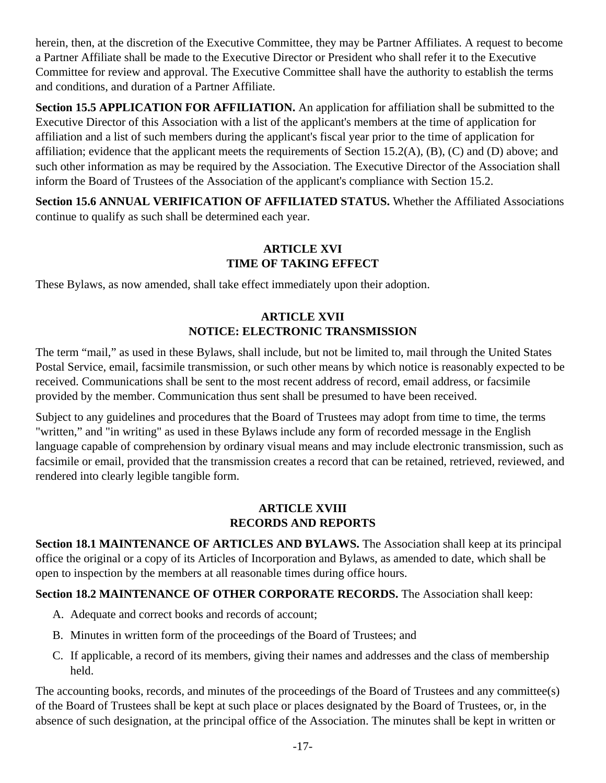herein, then, at the discretion of the Executive Committee, they may be Partner Affiliates. A request to become a Partner Affiliate shall be made to the Executive Director or President who shall refer it to the Executive Committee for review and approval. The Executive Committee shall have the authority to establish the terms and conditions, and duration of a Partner Affiliate.

**Section 15.5 APPLICATION FOR AFFILIATION.** An application for affiliation shall be submitted to the Executive Director of this Association with a list of the applicant's members at the time of application for affiliation and a list of such members during the applicant's fiscal year prior to the time of application for affiliation; evidence that the applicant meets the requirements of Section 15.2(A), (B), (C) and (D) above; and such other information as may be required by the Association. The Executive Director of the Association shall inform the Board of Trustees of the Association of the applicant's compliance with Section 15.2.

**Section 15.6 ANNUAL VERIFICATION OF AFFILIATED STATUS.** Whether the Affiliated Associations continue to qualify as such shall be determined each year.

### **ARTICLE XVI TIME OF TAKING EFFECT**

These Bylaws, as now amended, shall take effect immediately upon their adoption.

# **ARTICLE XVII NOTICE: ELECTRONIC TRANSMISSION**

The term "mail," as used in these Bylaws, shall include, but not be limited to, mail through the United States Postal Service, email, facsimile transmission, or such other means by which notice is reasonably expected to be received. Communications shall be sent to the most recent address of record, email address, or facsimile provided by the member. Communication thus sent shall be presumed to have been received.

Subject to any guidelines and procedures that the Board of Trustees may adopt from time to time, the terms "written," and "in writing" as used in these Bylaws include any form of recorded message in the English language capable of comprehension by ordinary visual means and may include electronic transmission, such as facsimile or email, provided that the transmission creates a record that can be retained, retrieved, reviewed, and rendered into clearly legible tangible form.

# **ARTICLE XVIII RECORDS AND REPORTS**

**Section 18.1 MAINTENANCE OF ARTICLES AND BYLAWS.** The Association shall keep at its principal office the original or a copy of its Articles of Incorporation and Bylaws, as amended to date, which shall be open to inspection by the members at all reasonable times during office hours.

# **Section 18.2 MAINTENANCE OF OTHER CORPORATE RECORDS.** The Association shall keep:

- A. Adequate and correct books and records of account;
- B. Minutes in written form of the proceedings of the Board of Trustees; and
- C. If applicable, a record of its members, giving their names and addresses and the class of membership held.

The accounting books, records, and minutes of the proceedings of the Board of Trustees and any committee(s) of the Board of Trustees shall be kept at such place or places designated by the Board of Trustees, or, in the absence of such designation, at the principal office of the Association. The minutes shall be kept in written or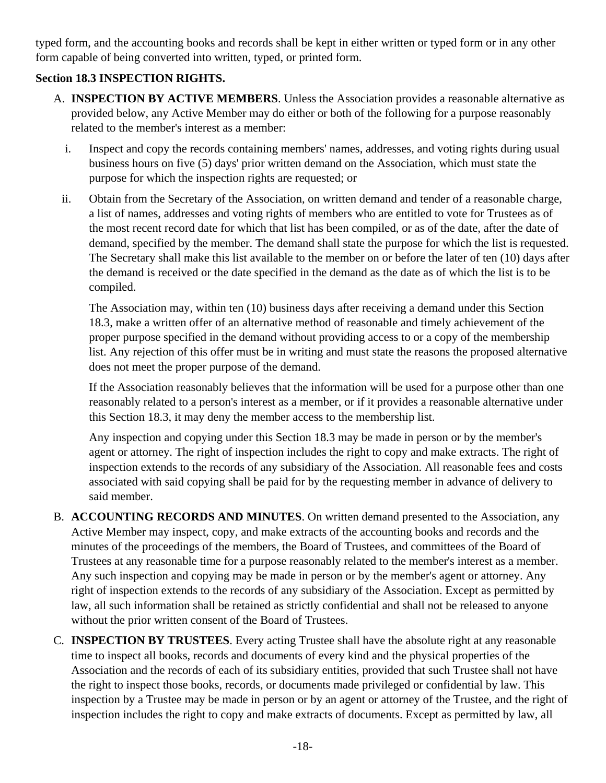typed form, and the accounting books and records shall be kept in either written or typed form or in any other form capable of being converted into written, typed, or printed form.

# **Section 18.3 INSPECTION RIGHTS.**

- A. **INSPECTION BY ACTIVE MEMBERS**. Unless the Association provides a reasonable alternative as provided below, any Active Member may do either or both of the following for a purpose reasonably related to the member's interest as a member:
	- i. Inspect and copy the records containing members' names, addresses, and voting rights during usual business hours on five (5) days' prior written demand on the Association, which must state the purpose for which the inspection rights are requested; or
	- ii. Obtain from the Secretary of the Association, on written demand and tender of a reasonable charge, a list of names, addresses and voting rights of members who are entitled to vote for Trustees as of the most recent record date for which that list has been compiled, or as of the date, after the date of demand, specified by the member. The demand shall state the purpose for which the list is requested. The Secretary shall make this list available to the member on or before the later of ten (10) days after the demand is received or the date specified in the demand as the date as of which the list is to be compiled.

The Association may, within ten (10) business days after receiving a demand under this Section 18.3, make a written offer of an alternative method of reasonable and timely achievement of the proper purpose specified in the demand without providing access to or a copy of the membership list. Any rejection of this offer must be in writing and must state the reasons the proposed alternative does not meet the proper purpose of the demand.

If the Association reasonably believes that the information will be used for a purpose other than one reasonably related to a person's interest as a member, or if it provides a reasonable alternative under this Section 18.3, it may deny the member access to the membership list.

Any inspection and copying under this Section 18.3 may be made in person or by the member's agent or attorney. The right of inspection includes the right to copy and make extracts. The right of inspection extends to the records of any subsidiary of the Association. All reasonable fees and costs associated with said copying shall be paid for by the requesting member in advance of delivery to said member.

- B. **ACCOUNTING RECORDS AND MINUTES**. On written demand presented to the Association, any Active Member may inspect, copy, and make extracts of the accounting books and records and the minutes of the proceedings of the members, the Board of Trustees, and committees of the Board of Trustees at any reasonable time for a purpose reasonably related to the member's interest as a member. Any such inspection and copying may be made in person or by the member's agent or attorney. Any right of inspection extends to the records of any subsidiary of the Association. Except as permitted by law, all such information shall be retained as strictly confidential and shall not be released to anyone without the prior written consent of the Board of Trustees.
- C. **INSPECTION BY TRUSTEES**. Every acting Trustee shall have the absolute right at any reasonable time to inspect all books, records and documents of every kind and the physical properties of the Association and the records of each of its subsidiary entities, provided that such Trustee shall not have the right to inspect those books, records, or documents made privileged or confidential by law. This inspection by a Trustee may be made in person or by an agent or attorney of the Trustee, and the right of inspection includes the right to copy and make extracts of documents. Except as permitted by law, all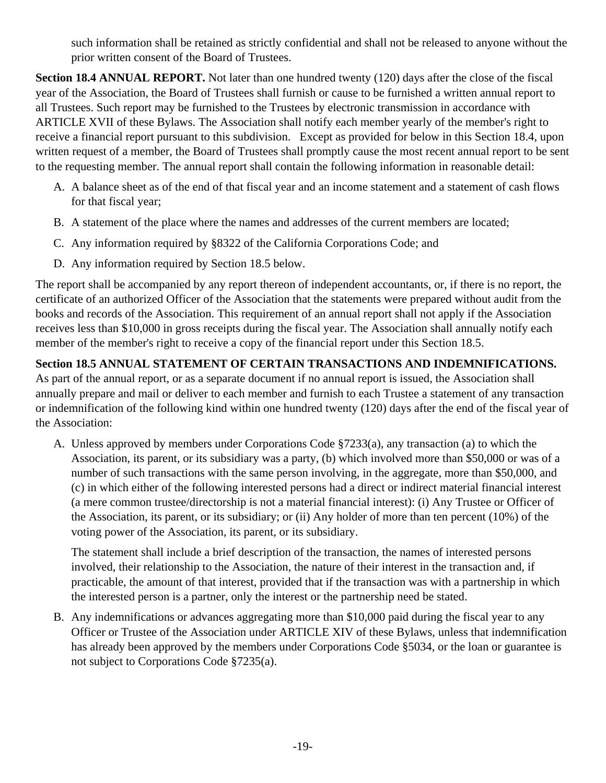such information shall be retained as strictly confidential and shall not be released to anyone without the prior written consent of the Board of Trustees.

**Section 18.4 ANNUAL REPORT.** Not later than one hundred twenty (120) days after the close of the fiscal year of the Association, the Board of Trustees shall furnish or cause to be furnished a written annual report to all Trustees. Such report may be furnished to the Trustees by electronic transmission in accordance with ARTICLE XVII of these Bylaws. The Association shall notify each member yearly of the member's right to receive a financial report pursuant to this subdivision. Except as provided for below in this Section 18.4, upon written request of a member, the Board of Trustees shall promptly cause the most recent annual report to be sent to the requesting member. The annual report shall contain the following information in reasonable detail:

- A. A balance sheet as of the end of that fiscal year and an income statement and a statement of cash flows for that fiscal year;
- B. A statement of the place where the names and addresses of the current members are located;
- C. Any information required by §8322 of the California Corporations Code; and
- D. Any information required by Section 18.5 below.

The report shall be accompanied by any report thereon of independent accountants, or, if there is no report, the certificate of an authorized Officer of the Association that the statements were prepared without audit from the books and records of the Association. This requirement of an annual report shall not apply if the Association receives less than \$10,000 in gross receipts during the fiscal year. The Association shall annually notify each member of the member's right to receive a copy of the financial report under this Section 18.5.

**Section 18.5 ANNUAL STATEMENT OF CERTAIN TRANSACTIONS AND INDEMNIFICATIONS.** 

As part of the annual report, or as a separate document if no annual report is issued, the Association shall annually prepare and mail or deliver to each member and furnish to each Trustee a statement of any transaction or indemnification of the following kind within one hundred twenty (120) days after the end of the fiscal year of the Association:

A. Unless approved by members under Corporations Code §7233(a), any transaction (a) to which the Association, its parent, or its subsidiary was a party, (b) which involved more than \$50,000 or was of a number of such transactions with the same person involving, in the aggregate, more than \$50,000, and (c) in which either of the following interested persons had a direct or indirect material financial interest (a mere common trustee/directorship is not a material financial interest): (i) Any Trustee or Officer of the Association, its parent, or its subsidiary; or (ii) Any holder of more than ten percent (10%) of the voting power of the Association, its parent, or its subsidiary.

The statement shall include a brief description of the transaction, the names of interested persons involved, their relationship to the Association, the nature of their interest in the transaction and, if practicable, the amount of that interest, provided that if the transaction was with a partnership in which the interested person is a partner, only the interest or the partnership need be stated.

B. Any indemnifications or advances aggregating more than \$10,000 paid during the fiscal year to any Officer or Trustee of the Association under ARTICLE XIV of these Bylaws, unless that indemnification has already been approved by the members under Corporations Code §5034, or the loan or guarantee is not subject to Corporations Code §7235(a).